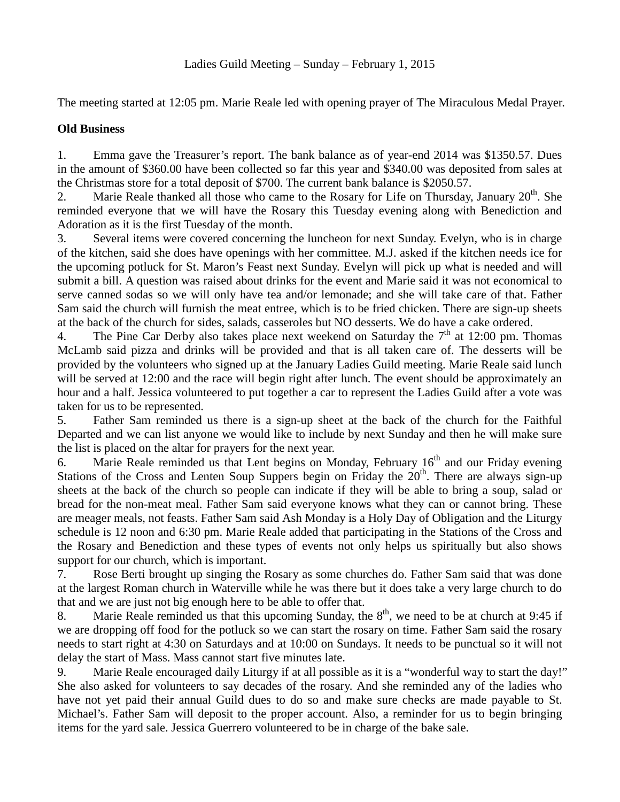The meeting started at 12:05 pm. Marie Reale led with opening prayer of The Miraculous Medal Prayer.

## **Old Business**

1. Emma gave the Treasurer's report. The bank balance as of year-end 2014 was \$1350.57. Dues in the amount of \$360.00 have been collected so far this year and \$340.00 was deposited from sales at the Christmas store for a total deposit of \$700. The current bank balance is \$2050.57.

2. Marie Reale thanked all those who came to the Rosary for Life on Thursday, January  $20<sup>th</sup>$ . She reminded everyone that we will have the Rosary this Tuesday evening along with Benediction and Adoration as it is the first Tuesday of the month.

3. Several items were covered concerning the luncheon for next Sunday. Evelyn, who is in charge of the kitchen, said she does have openings with her committee. M.J. asked if the kitchen needs ice for the upcoming potluck for St. Maron's Feast next Sunday. Evelyn will pick up what is needed and will submit a bill. A question was raised about drinks for the event and Marie said it was not economical to serve canned sodas so we will only have tea and/or lemonade; and she will take care of that. Father Sam said the church will furnish the meat entree, which is to be fried chicken. There are sign-up sheets at the back of the church for sides, salads, casseroles but NO desserts. We do have a cake ordered.

4. The Pine Car Derby also takes place next weekend on Saturday the  $7<sup>th</sup>$  at 12:00 pm. Thomas McLamb said pizza and drinks will be provided and that is all taken care of. The desserts will be provided by the volunteers who signed up at the January Ladies Guild meeting. Marie Reale said lunch will be served at 12:00 and the race will begin right after lunch. The event should be approximately an hour and a half. Jessica volunteered to put together a car to represent the Ladies Guild after a vote was taken for us to be represented.

5. Father Sam reminded us there is a sign-up sheet at the back of the church for the Faithful Departed and we can list anyone we would like to include by next Sunday and then he will make sure the list is placed on the altar for prayers for the next year.

6. Marie Reale reminded us that Lent begins on Monday, February  $16<sup>th</sup>$  and our Friday evening Stations of the Cross and Lenten Soup Suppers begin on Friday the  $20<sup>th</sup>$ . There are always sign-up sheets at the back of the church so people can indicate if they will be able to bring a soup, salad or bread for the non-meat meal. Father Sam said everyone knows what they can or cannot bring. These are meager meals, not feasts. Father Sam said Ash Monday is a Holy Day of Obligation and the Liturgy schedule is 12 noon and 6:30 pm. Marie Reale added that participating in the Stations of the Cross and the Rosary and Benediction and these types of events not only helps us spiritually but also shows support for our church, which is important.

7. Rose Berti brought up singing the Rosary as some churches do. Father Sam said that was done at the largest Roman church in Waterville while he was there but it does take a very large church to do that and we are just not big enough here to be able to offer that.

8. Marie Reale reminded us that this upcoming Sunday, the  $8<sup>th</sup>$ , we need to be at church at 9:45 if we are dropping off food for the potluck so we can start the rosary on time. Father Sam said the rosary needs to start right at 4:30 on Saturdays and at 10:00 on Sundays. It needs to be punctual so it will not delay the start of Mass. Mass cannot start five minutes late.

9. Marie Reale encouraged daily Liturgy if at all possible as it is a "wonderful way to start the day!" She also asked for volunteers to say decades of the rosary. And she reminded any of the ladies who have not yet paid their annual Guild dues to do so and make sure checks are made payable to St. Michael's. Father Sam will deposit to the proper account. Also, a reminder for us to begin bringing items for the yard sale. Jessica Guerrero volunteered to be in charge of the bake sale.